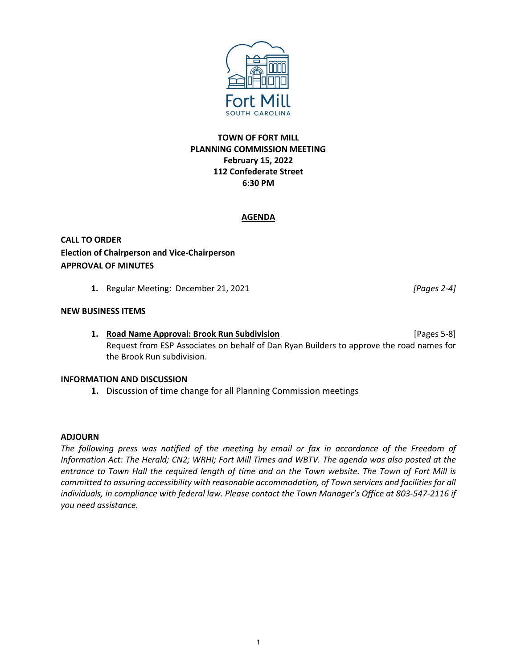

# **TOWN OF FORT MILL PLANNING COMMISSION MEETING February 15, 2022 112 Confederate Street 6:30 PM**

## **AGENDA**

**CALL TO ORDER Election of Chairperson and Vice-Chairperson APPROVAL OF MINUTES**

**1.** Regular Meeting: December 21, 2021 *[Pages 2-4]*

### **NEW BUSINESS ITEMS**

**1. Road Name Approval: Brook Run Subdivision** [Pages 5-8] Request from ESP Associates on behalf of Dan Ryan Builders to approve the road names for the Brook Run subdivision.

#### **INFORMATION AND DISCUSSION**

**1.** Discussion of time change for all Planning Commission meetings

#### **ADJOURN**

*The following press was notified of the meeting by email or fax in accordance of the Freedom of Information Act: The Herald; CN2; WRHI; Fort Mill Times and WBTV. The agenda was also posted at the entrance to Town Hall the required length of time and on the Town website. The Town of Fort Mill is committed to assuring accessibility with reasonable accommodation, of Town services and facilities for all*  individuals, in compliance with federal law. Please contact the Town Manager's Office at 803-547-2116 if *you need assistance.*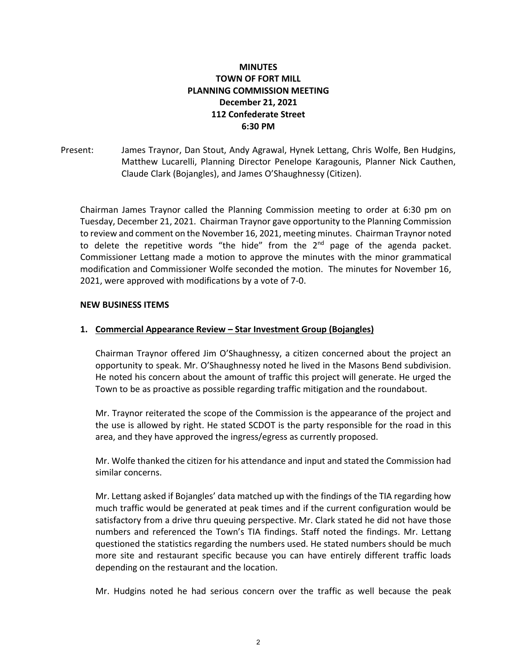# **MINUTES TOWN OF FORT MILL PLANNING COMMISSION MEETING December 21, 2021 112 Confederate Street 6:30 PM**

Present: James Traynor, Dan Stout, Andy Agrawal, Hynek Lettang, Chris Wolfe, Ben Hudgins, Matthew Lucarelli, Planning Director Penelope Karagounis, Planner Nick Cauthen, Claude Clark (Bojangles), and James O'Shaughnessy (Citizen).

Chairman James Traynor called the Planning Commission meeting to order at 6:30 pm on Tuesday, December 21, 2021. Chairman Traynor gave opportunity to the Planning Commission to review and comment on the November 16, 2021, meeting minutes. Chairman Traynor noted to delete the repetitive words "the hide" from the  $2^{nd}$  page of the agenda packet. Commissioner Lettang made a motion to approve the minutes with the minor grammatical modification and Commissioner Wolfe seconded the motion. The minutes for November 16, 2021, were approved with modifications by a vote of 7-0.

## **NEW BUSINESS ITEMS**

# **1. Commercial Appearance Review – Star Investment Group (Bojangles)**

Chairman Traynor offered Jim O'Shaughnessy, a citizen concerned about the project an opportunity to speak. Mr. O'Shaughnessy noted he lived in the Masons Bend subdivision. He noted his concern about the amount of traffic this project will generate. He urged the Town to be as proactive as possible regarding traffic mitigation and the roundabout.

Mr. Traynor reiterated the scope of the Commission is the appearance of the project and the use is allowed by right. He stated SCDOT is the party responsible for the road in this area, and they have approved the ingress/egress as currently proposed.

Mr. Wolfe thanked the citizen for his attendance and input and stated the Commission had similar concerns.

Mr. Lettang asked if Bojangles' data matched up with the findings of the TIA regarding how much traffic would be generated at peak times and if the current configuration would be satisfactory from a drive thru queuing perspective. Mr. Clark stated he did not have those numbers and referenced the Town's TIA findings. Staff noted the findings. Mr. Lettang questioned the statistics regarding the numbers used. He stated numbers should be much more site and restaurant specific because you can have entirely different traffic loads depending on the restaurant and the location.

Mr. Hudgins noted he had serious concern over the traffic as well because the peak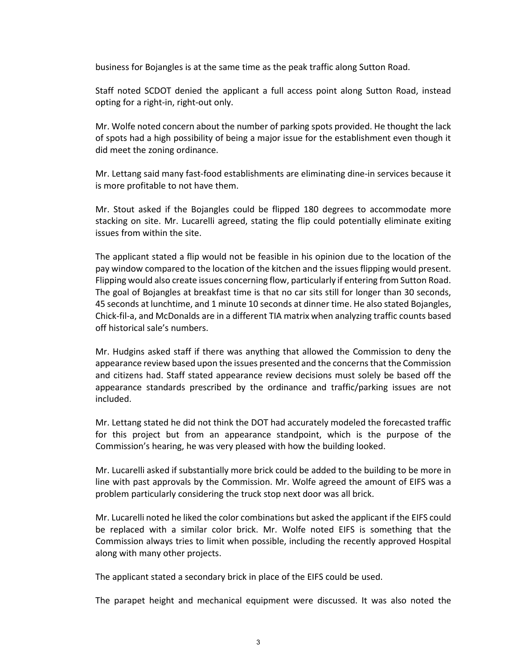business for Bojangles is at the same time as the peak traffic along Sutton Road.

Staff noted SCDOT denied the applicant a full access point along Sutton Road, instead opting for a right-in, right-out only.

Mr. Wolfe noted concern about the number of parking spots provided. He thought the lack of spots had a high possibility of being a major issue for the establishment even though it did meet the zoning ordinance.

Mr. Lettang said many fast-food establishments are eliminating dine-in services because it is more profitable to not have them.

Mr. Stout asked if the Bojangles could be flipped 180 degrees to accommodate more stacking on site. Mr. Lucarelli agreed, stating the flip could potentially eliminate exiting issues from within the site.

The applicant stated a flip would not be feasible in his opinion due to the location of the pay window compared to the location of the kitchen and the issues flipping would present. Flipping would also create issues concerning flow, particularly if entering from Sutton Road. The goal of Bojangles at breakfast time is that no car sits still for longer than 30 seconds, 45 seconds at lunchtime, and 1 minute 10 seconds at dinner time. He also stated Bojangles, Chick-fil-a, and McDonalds are in a different TIA matrix when analyzing traffic counts based off historical sale's numbers.

Mr. Hudgins asked staff if there was anything that allowed the Commission to deny the appearance review based upon the issues presented and the concerns that the Commission and citizens had. Staff stated appearance review decisions must solely be based off the appearance standards prescribed by the ordinance and traffic/parking issues are not included.

Mr. Lettang stated he did not think the DOT had accurately modeled the forecasted traffic for this project but from an appearance standpoint, which is the purpose of the Commission's hearing, he was very pleased with how the building looked.

Mr. Lucarelli asked if substantially more brick could be added to the building to be more in line with past approvals by the Commission. Mr. Wolfe agreed the amount of EIFS was a problem particularly considering the truck stop next door was all brick.

Mr. Lucarelli noted he liked the color combinations but asked the applicant if the EIFS could be replaced with a similar color brick. Mr. Wolfe noted EIFS is something that the Commission always tries to limit when possible, including the recently approved Hospital along with many other projects.

The applicant stated a secondary brick in place of the EIFS could be used.

The parapet height and mechanical equipment were discussed. It was also noted the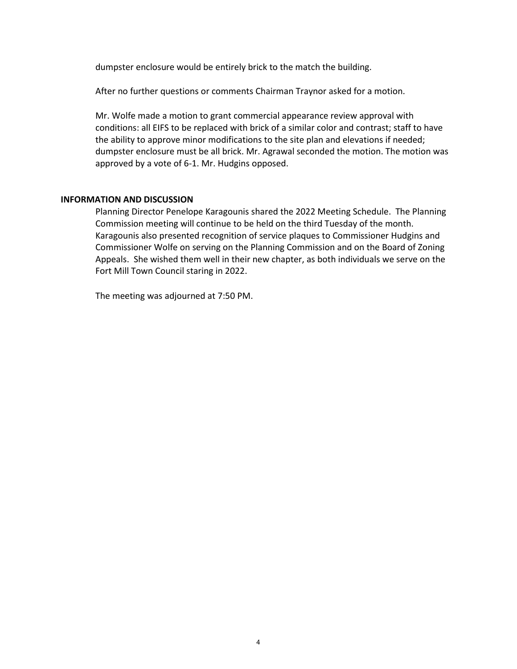dumpster enclosure would be entirely brick to the match the building.

After no further questions or comments Chairman Traynor asked for a motion.

Mr. Wolfe made a motion to grant commercial appearance review approval with conditions: all EIFS to be replaced with brick of a similar color and contrast; staff to have the ability to approve minor modifications to the site plan and elevations if needed; dumpster enclosure must be all brick. Mr. Agrawal seconded the motion. The motion was approved by a vote of 6-1. Mr. Hudgins opposed.

#### **INFORMATION AND DISCUSSION**

Planning Director Penelope Karagounis shared the 2022 Meeting Schedule. The Planning Commission meeting will continue to be held on the third Tuesday of the month. Karagounis also presented recognition of service plaques to Commissioner Hudgins and Commissioner Wolfe on serving on the Planning Commission and on the Board of Zoning Appeals. She wished them well in their new chapter, as both individuals we serve on the Fort Mill Town Council staring in 2022.

The meeting was adjourned at 7:50 PM.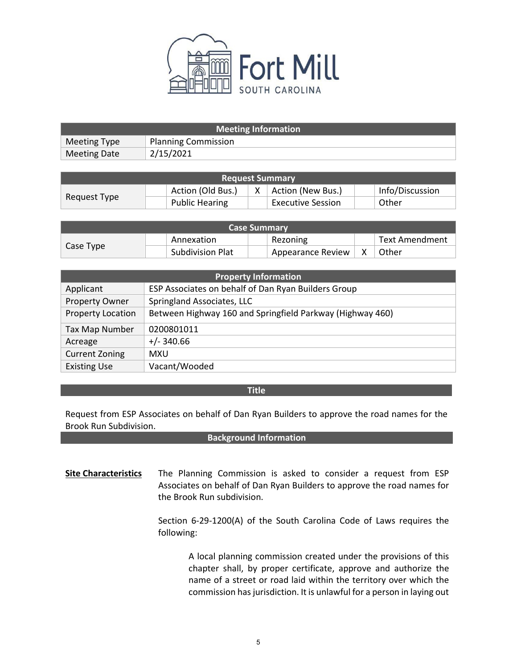

| <b>Meeting Information</b> |                            |  |
|----------------------------|----------------------------|--|
| Meeting Type               | <b>Planning Commission</b> |  |
| Meeting Date               | 2/15/2021                  |  |

| <b>Request Summary</b> |  |                       |  |                          |                 |
|------------------------|--|-----------------------|--|--------------------------|-----------------|
| Request Type           |  | Action (Old Bus.)     |  | Action (New Bus.)        | Info/Discussion |
|                        |  | <b>Public Hearing</b> |  | <b>Executive Session</b> | Other           |

| <b>Case Summary</b> |                         |                   |  |                |
|---------------------|-------------------------|-------------------|--|----------------|
| Case Type           | Annexation              | Rezoning          |  | Text Amendment |
|                     | <b>Subdivision Plat</b> | Appearance Review |  | Other          |

| <b>Property Information</b> |                                                           |  |
|-----------------------------|-----------------------------------------------------------|--|
| Applicant                   | ESP Associates on behalf of Dan Ryan Builders Group       |  |
| Property Owner              | Springland Associates, LLC                                |  |
| <b>Property Location</b>    | Between Highway 160 and Springfield Parkway (Highway 460) |  |
| Tax Map Number              | 0200801011                                                |  |
| Acreage                     | $+/- 340.66$                                              |  |
| <b>Current Zoning</b>       | <b>MXU</b>                                                |  |
| <b>Existing Use</b>         | Vacant/Wooded                                             |  |

### **Title**

Request from ESP Associates on behalf of Dan Ryan Builders to approve the road names for the Brook Run Subdivision.

#### **Background Information**

**Site Characteristics** The Planning Commission is asked to consider a request from ESP Associates on behalf of Dan Ryan Builders to approve the road names for the Brook Run subdivision.

> Section 6-29-1200(A) of the South Carolina Code of Laws requires the following:

> > A local planning commission created under the provisions of this chapter shall, by proper certificate, approve and authorize the name of a street or road laid within the territory over which the commission has jurisdiction. It is unlawful for a person in laying out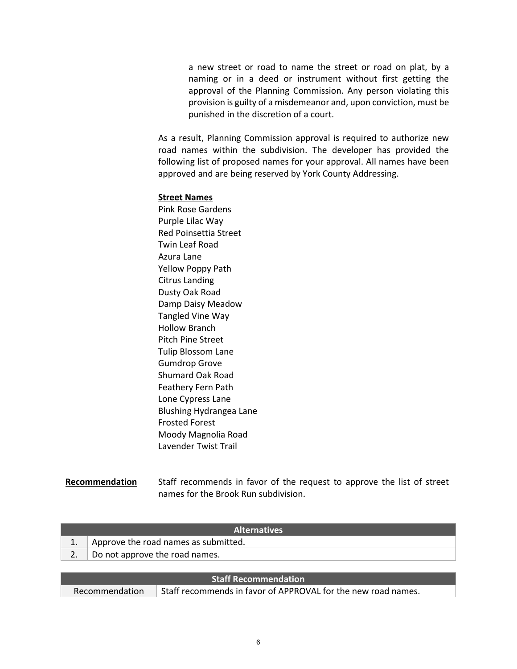a new street or road to name the street or road on plat, by a naming or in a deed or instrument without first getting the approval of the Planning Commission. Any person violating this provision is guilty of a misdemeanor and, upon conviction, must be punished in the discretion of a court.

As a result, Planning Commission approval is required to authorize new road names within the subdivision. The developer has provided the following list of proposed names for your approval. All names have been approved and are being reserved by York County Addressing.

#### **Street Names**

Pink Rose Gardens Purple Lilac Way Red Poinsettia Street Twin Leaf Road Azura Lane Yellow Poppy Path Citrus Landing Dusty Oak Road Damp Daisy Meadow Tangled Vine Way Hollow Branch Pitch Pine Street Tulip Blossom Lane Gumdrop Grove Shumard Oak Road Feathery Fern Path Lone Cypress Lane Blushing Hydrangea Lane Frosted Forest Moody Magnolia Road Lavender Twist Trail

### **Recommendation** Staff recommends in favor of the request to approve the list of street names for the Brook Run subdivision.

| <b>Alternatives</b> |                                      |  |
|---------------------|--------------------------------------|--|
|                     | Approve the road names as submitted. |  |
|                     | Do not approve the road names.       |  |
|                     |                                      |  |
|                     |                                      |  |

|                               | <b>Staff Recommendation</b>                                   |
|-------------------------------|---------------------------------------------------------------|
| $\blacksquare$ Recommendation | Staff recommends in favor of APPROVAL for the new road names. |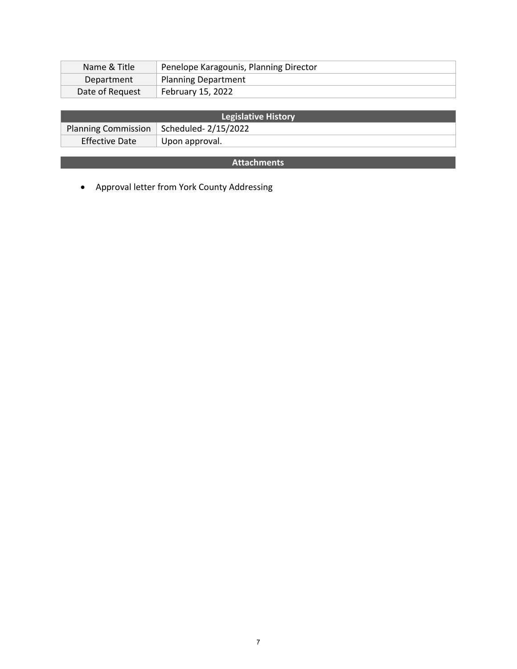| Name & Title    | Penelope Karagounis, Planning Director |
|-----------------|----------------------------------------|
| Department      | <b>Planning Department</b>             |
| Date of Request | February 15, 2022                      |

| <b>Legislative History</b> |                                           |  |
|----------------------------|-------------------------------------------|--|
|                            | Planning Commission   Scheduled-2/15/2022 |  |
| Effective Date             | Upon approval.                            |  |

# **Attachments**

• Approval letter from York County Addressing